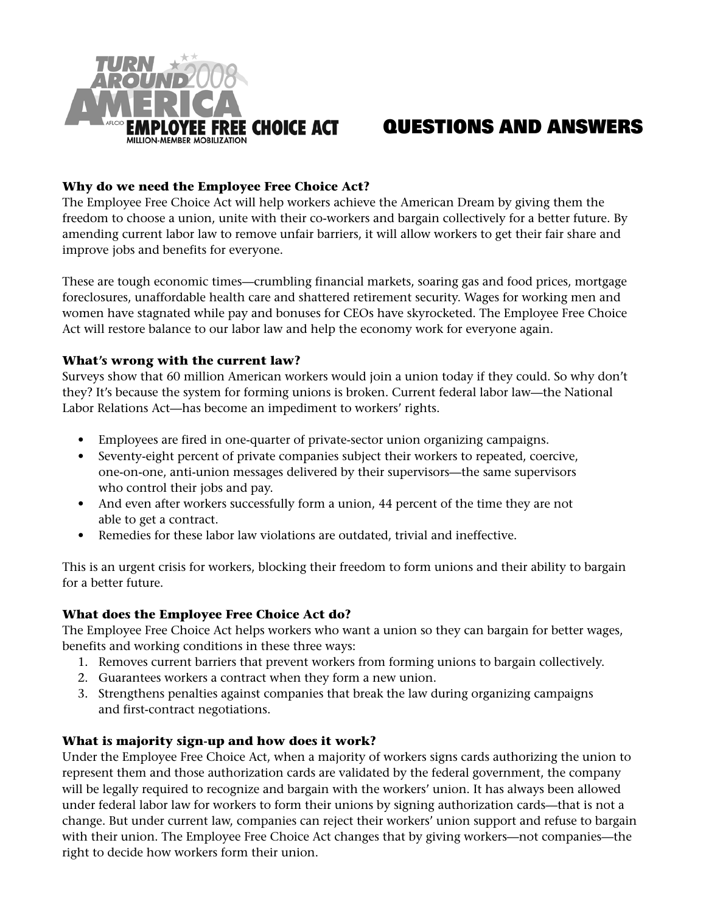

# Questions and Answers

## **Why do we need the Employee Free Choice Act?**

The Employee Free Choice Act will help workers achieve the American Dream by giving them the freedom to choose a union, unite with their co-workers and bargain collectively for a better future. By amending current labor law to remove unfair barriers, it will allow workers to get their fair share and improve jobs and benefits for everyone.

These are tough economic times—crumbling financial markets, soaring gas and food prices, mortgage foreclosures, unaffordable health care and shattered retirement security. Wages for working men and women have stagnated while pay and bonuses for CEOs have skyrocketed. The Employee Free Choice Act will restore balance to our labor law and help the economy work for everyone again.

#### **What's wrong with the current law?**

Surveys show that 60 million American workers would join a union today if they could. So why don't they? It's because the system for forming unions is broken. Current federal labor law—the National Labor Relations Act—has become an impediment to workers' rights.

- Employees are fired in one-quarter of private-sector union organizing campaigns.
- Seventy-eight percent of private companies subject their workers to repeated, coercive, one-on-one, anti-union messages delivered by their supervisors—the same supervisors who control their jobs and pay.
- And even after workers successfully form a union, 44 percent of the time they are not able to get a contract.
- Remedies for these labor law violations are outdated, trivial and ineffective.

This is an urgent crisis for workers, blocking their freedom to form unions and their ability to bargain for a better future.

#### **What does the Employee Free Choice Act do?**

The Employee Free Choice Act helps workers who want a union so they can bargain for better wages, benefits and working conditions in these three ways:

- 1. Removes current barriers that prevent workers from forming unions to bargain collectively.
- 2. Guarantees workers a contract when they form a new union.
- 3. Strengthens penalties against companies that break the law during organizing campaigns and first-contract negotiations.

#### **What is majority sign-up and how does it work?**

Under the Employee Free Choice Act, when a majority of workers signs cards authorizing the union to represent them and those authorization cards are validated by the federal government, the company will be legally required to recognize and bargain with the workers' union. It has always been allowed under federal labor law for workers to form their unions by signing authorization cards—that is not a change. But under current law, companies can reject their workers' union support and refuse to bargain with their union. The Employee Free Choice Act changes that by giving workers—not companies—the right to decide how workers form their union.